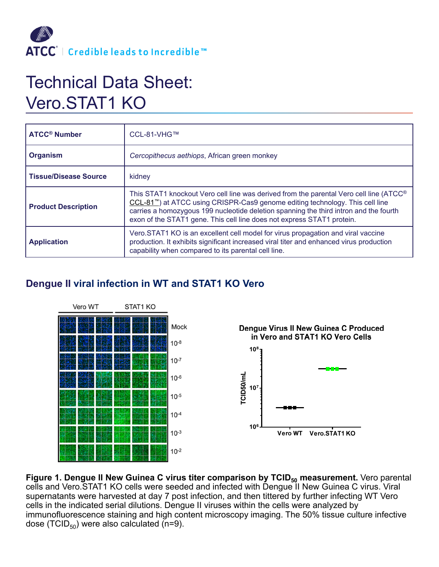

## Technical Data Sheet: Vero.STAT1 KO

| <b>ATCC<sup>®</sup> Number</b> | CCL-81-VHG™                                                                                                                                                                                                                                                                                                                                                         |
|--------------------------------|---------------------------------------------------------------------------------------------------------------------------------------------------------------------------------------------------------------------------------------------------------------------------------------------------------------------------------------------------------------------|
| <b>Organism</b>                | Cercopithecus aethiops, African green monkey                                                                                                                                                                                                                                                                                                                        |
| <b>Tissue/Disease Source</b>   | kidney                                                                                                                                                                                                                                                                                                                                                              |
| <b>Product Description</b>     | This STAT1 knockout Vero cell line was derived from the parental Vero cell line (ATCC <sup>®</sup><br>CCL-81 <sup>""</sup> ) at ATCC using CRISPR-Cas9 genome editing technology. This cell line<br>carries a homozygous 199 nucleotide deletion spanning the third intron and the fourth<br>exon of the STAT1 gene. This cell line does not express STAT1 protein. |
| <b>Application</b>             | Vero.STAT1 KO is an excellent cell model for virus propagation and viral vaccine<br>production. It exhibits significant increased viral titer and enhanced virus production<br>capability when compared to its parental cell line.                                                                                                                                  |

## **Dengue II viral infection in WT and STAT1 KO Vero**



**Figure 1. Dengue II New Guinea C virus titer comparison by TCID<sub>50</sub> measurement.** Vero parental cells and Vero.STAT1 KO cells were seeded and infected with Dengue II New Guinea C virus. Viral supernatants were harvested at day 7 post infection, and then tittered by further infecting WT Vero cells in the indicated serial dilutions. Dengue II viruses within the cells were analyzed by immunofluorescence staining and high content microscopy imaging. The 50% tissue culture infective dose (TCID $_{50}$ ) were also calculated (n=9).